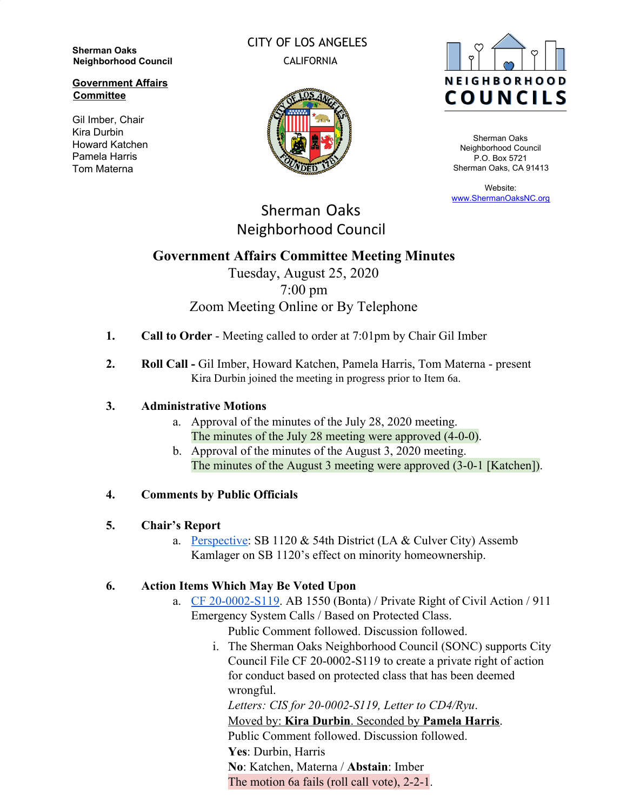**Sherman Oaks Neighborhood Council**

#### **Government Affairs Committee**

Gil Imber, Chair Kira Durbin Howard Katchen Pamela Harris Tom Materna

CITY OF LOS ANGELES CALIFORNIA





Sherman Oaks Neighborhood Council P.O. Box 5721 Sherman Oaks, CA 91413

Website: [www.ShermanOaksNC.org](http://www.shermanoaksnc.org/)

# Sherman Oaks Neighborhood Council

# **Government Affairs Committee Meeting Minutes**

Tuesday, August 25, 2020 7:00 pm Zoom Meeting Online or By Telephone

- **1. Call to Order** Meeting called to order at 7:01pm by Chair Gil Imber
- **2. Roll Call** Gil Imber, Howard Katchen, Pamela Harris, Tom Materna present Kira Durbin joined the meeting in progress prior to Item 6a.

## **3. Administrative Motions**

- a. Approval of the minutes of the July 28, 2020 meeting. The minutes of the July 28 meeting were approved (4-0-0).
- b. Approval of the minutes of the August 3, 2020 meeting. The minutes of the August 3 meeting were approved (3-0-1 [Katchen]).

## **4. Comments by Public Officials**

## **5. Chair's Report**

a. [Perspective](https://youtu.be/6z_lVd6oo7I): SB 1120 & 54th District (LA & Culver City) Assemb Kamlager on SB 1120's effect on minority homeownership.

# **6. Action Items Which May Be Voted Upon**

a. [CF 20-0002-S119](https://cityclerk.lacity.org/lacityclerkconnect/index.cfm?fa=ccfi.viewrecord&cfnumber=20-0002-S119). AB 1550 (Bonta) / Private Right of Civil Action / 911 Emergency System Calls / Based on Protected Class.

Public Comment followed. Discussion followed.

i. The Sherman Oaks Neighborhood Council (SONC) supports City Council File CF 20-0002-S119 to create a private right of action for conduct based on protected class that has been deemed wrongful.

*Letters: CIS for 20-0002-S119, Letter to CD4/Ryu*. Moved by: **Kira Durbin**. Seconded by **Pamela Harris**. Public Comment followed. Discussion followed. **Yes**: Durbin, Harris **No**: Katchen, Materna / **Abstain**: Imber The motion 6a fails (roll call vote), 2-2-1.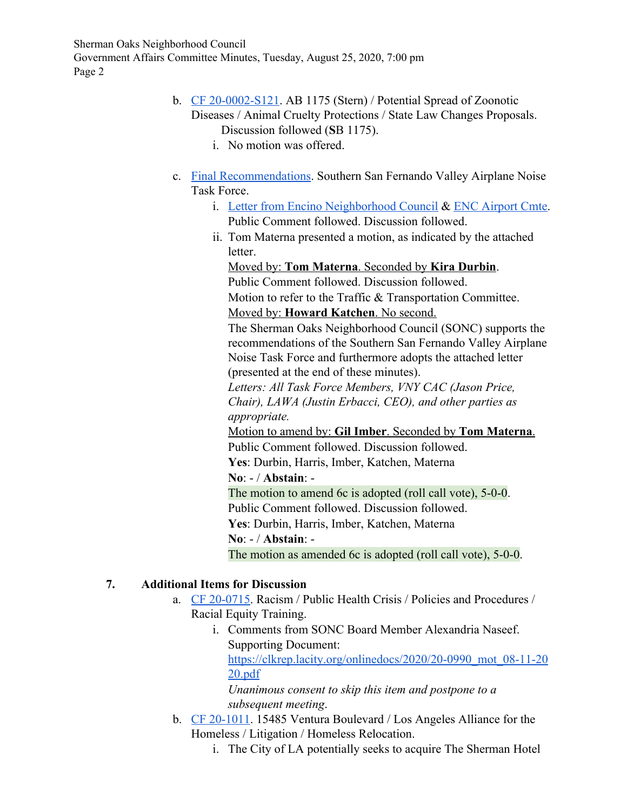Sherman Oaks Neighborhood Council Government Affairs Committee Minutes, Tuesday, August 25, 2020, 7:00 pm Page 2

- b. [CF 20-0002-S121](https://cityclerk.lacity.org/lacityclerkconnect/index.cfm?fa=ccfi.viewrecord&cfnumber=20-0002-S121). AB 1175 (Stern) / Potential Spread of Zoonotic Diseases / Animal Cruelty Protections / State Law Changes Proposals. Discussion followed (**S**B 1175).
	- i. No motion was offered.
- c. [Final Recommendations.](http://hollywoodburbankairport.com/wp-content/uploads/2020/06/AmmendedTaskForceMemberRecommendations_Final_-06082020.pdf) Southern San Fernando Valley Airplane Noise Task Force.
	- i. [Letter from Encino Neighborhood Council](https://www.scribd.com/document/473297637/Recommendations-sent-to-the-FAA-from-the-Task-Force-pdf) & [ENC Airport Cmte.](https://www.encinonc.org/docs/34483397-5669.pdf) Public Comment followed. Discussion followed.
	- ii. Tom Materna presented a motion, as indicated by the attached letter.

Moved by: **Tom Materna**. Seconded by **Kira Durbin**. Public Comment followed. Discussion followed. Motion to refer to the Traffic & Transportation Committee. Moved by: **Howard Katchen**. No second.

The Sherman Oaks Neighborhood Council (SONC) supports the recommendations of the Southern San Fernando Valley Airplane Noise Task Force and furthermore adopts the attached letter (presented at the end of these minutes).

*Letters: All Task Force Members, VNY CAC (Jason Price, Chair), LAWA (Justin Erbacci, CEO), and other parties as appropriate.*

Motion to amend by: **Gil Imber**. Seconded by **Tom Materna**. Public Comment followed. Discussion followed.

**Yes**: Durbin, Harris, Imber, Katchen, Materna

**No**: - / **Abstain**: -

The motion to amend 6c is adopted (roll call vote), 5-0-0.

Public Comment followed. Discussion followed.

**Yes**: Durbin, Harris, Imber, Katchen, Materna

**No**: - / **Abstain**: -

The motion as amended 6c is adopted (roll call vote), 5-0-0.

# **7. Additional Items for Discussion**

- a. [CF 20-0715](https://cityclerk.lacity.org/lacityclerkconnect/index.cfm?fa=ccfi.viewrecord&cfnumber=20-0715). Racism / Public Health Crisis / Policies and Procedures / Racial Equity Training.
	- i. Comments from SONC Board Member Alexandria Naseef. Supporting Document: [https://clkrep.lacity.org/onlinedocs/2020/20-0990\\_mot\\_08-11-20](https://clkrep.lacity.org/onlinedocs/2020/20-0990_mot_08-11-2020.pdf) [20.pdf](https://clkrep.lacity.org/onlinedocs/2020/20-0990_mot_08-11-2020.pdf)

*Unanimous consent to skip this item and postpone to a subsequent meeting*.

- b. [CF 20-1011](https://cityclerk.lacity.org/lacityclerkconnect/index.cfm?fa=ccfi.viewrecord&cfnumber=20-1011). 15485 Ventura Boulevard / Los Angeles Alliance for the Homeless / Litigation / Homeless Relocation.
	- i. The City of LA potentially seeks to acquire The Sherman Hotel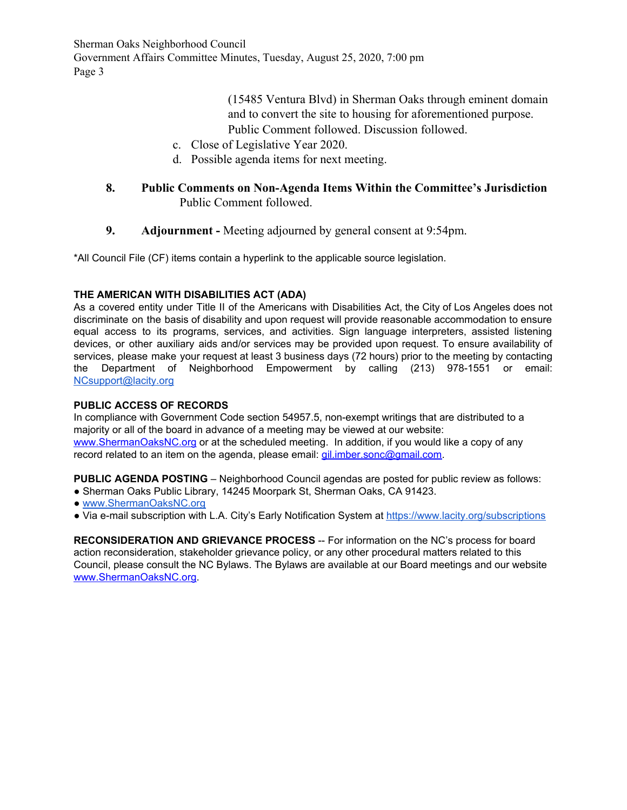Sherman Oaks Neighborhood Council Government Affairs Committee Minutes, Tuesday, August 25, 2020, 7:00 pm Page 3

> (15485 Ventura Blvd) in Sherman Oaks through eminent domain and to convert the site to housing for aforementioned purpose. Public Comment followed. Discussion followed.

- c. Close of Legislative Year 2020.
- d. Possible agenda items for next meeting.

### **8. Public Comments on Non-Agenda Items Within the Committee's Jurisdiction** Public Comment followed.

**9. Adjournment -** Meeting adjourned by general consent at 9:54pm.

\*All Council File (CF) items contain a hyperlink to the applicable source legislation.

### **THE AMERICAN WITH DISABILITIES ACT (ADA)**

As a covered entity under Title II of the Americans with Disabilities Act, the City of Los Angeles does not discriminate on the basis of disability and upon request will provide reasonable accommodation to ensure equal access to its programs, services, and activities. Sign language interpreters, assisted listening devices, or other auxiliary aids and/or services may be provided upon request. To ensure availability of services, please make your request at least 3 business days (72 hours) prior to the meeting by contacting the Department of Neighborhood Empowerment by calling (213) 978-1551 or email: [NCsupport@lacity.org](mailto:NCsupport@lacity.org)

### **PUBLIC ACCESS OF RECORDS**

In compliance with Government Code section 54957.5, non-exempt writings that are distributed to a majority or all of the board in advance of a meeting may be viewed at our website: [www.ShermanOaksNC.org](http://www.shermanoaksnc.org/) or at the scheduled meeting. In addition, if you would like a copy of any record related to an item on the agenda, please email: [gil.imber.sonc@gmail.com.](mailto:gil.imber.sonc@gmail.com)

**PUBLIC AGENDA POSTING** – Neighborhood Council agendas are posted for public review as follows:

- Sherman Oaks Public Library, 14245 Moorpark St, Sherman Oaks, CA 91423.
- [www.ShermanOaksNC.org](http://www.shermanoaksnc.org/)
- Via e-mail subscription with L.A. City's Early Notification System at <https://www.lacity.org/subscriptions>

**RECONSIDERATION AND GRIEVANCE PROCESS** -- For information on the NC's process for board action reconsideration, stakeholder grievance policy, or any other procedural matters related to this Council, please consult the NC Bylaws. The Bylaws are available at our Board meetings and our website [www.ShermanOaksNC.org.](http://www.shermanoaksnc.org/)